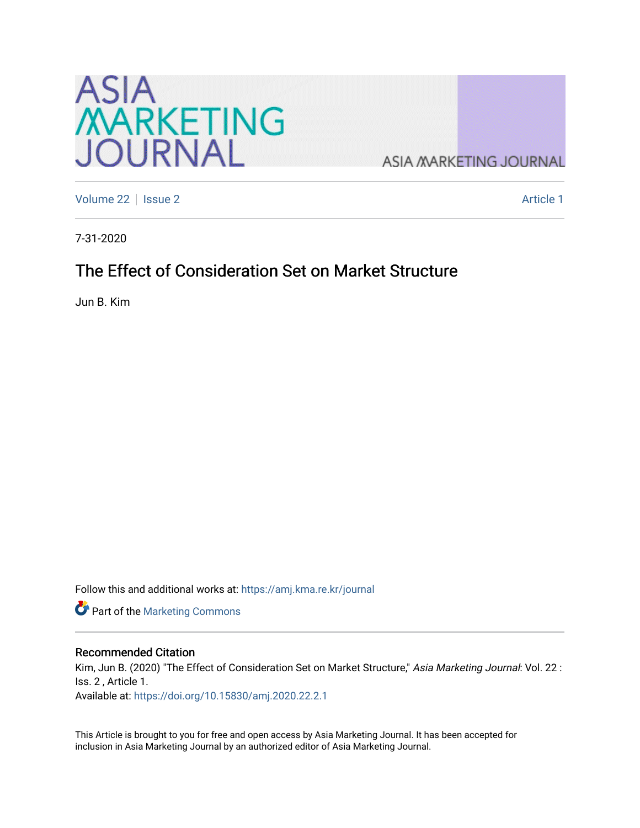

**ASIA MARKETING JOURNAL** 

[Volume 22](https://amj.kma.re.kr/journal/vol22) | [Issue 2](https://amj.kma.re.kr/journal/vol22/iss2) Article 1

7-31-2020

## The Effect of Consideration Set on Market Structure

Jun B. Kim

Follow this and additional works at: [https://amj.kma.re.kr/journal](https://amj.kma.re.kr/journal?utm_source=amj.kma.re.kr%2Fjournal%2Fvol22%2Fiss2%2F1&utm_medium=PDF&utm_campaign=PDFCoverPages) 

Part of the [Marketing Commons](http://network.bepress.com/hgg/discipline/638?utm_source=amj.kma.re.kr%2Fjournal%2Fvol22%2Fiss2%2F1&utm_medium=PDF&utm_campaign=PDFCoverPages)

#### Recommended Citation

Kim, Jun B. (2020) "The Effect of Consideration Set on Market Structure," Asia Marketing Journal: Vol. 22 : Iss. 2 , Article 1.

Available at:<https://doi.org/10.15830/amj.2020.22.2.1>

This Article is brought to you for free and open access by Asia Marketing Journal. It has been accepted for inclusion in Asia Marketing Journal by an authorized editor of Asia Marketing Journal.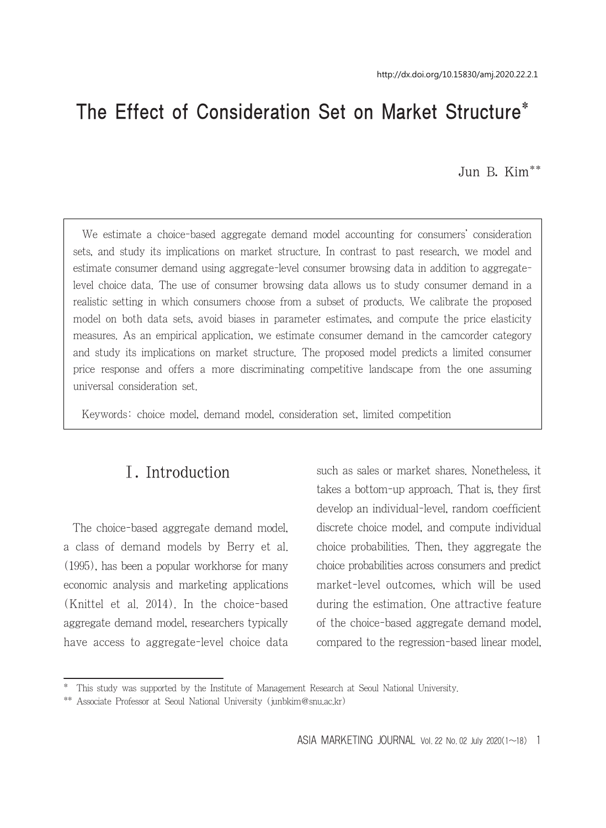# The Effect of Consideration Set on Market Structure\*

Jun B. Kim\*\*

We estimate a choice-based aggregate demand model accounting for consumers' consideration sets, and study its implications on market structure. In contrast to past research, we model and estimate consumer demand using aggregate-level consumer browsing data in addition to aggregatelevel choice data. The use of consumer browsing data allows us to study consumer demand in a realistic setting in which consumers choose from a subset of products. We calibrate the proposed model on both data sets, avoid biases in parameter estimates, and compute the price elasticity measures. As an empirical application, we estimate consumer demand in the camcorder category and study its implications on market structure. The proposed model predicts a limited consumer price response and offers a more discriminating competitive landscape from the one assuming universal consideration set.

Keywords: choice model, demand model, consideration set, limited competition

## Ⅰ. Introduction

The choice-based aggregate demand model, a class of demand models by Berry et al. (1995), has been a popular workhorse for many economic analysis and marketing applications (Knittel et al. 2014). In the choice-based aggregate demand model, researchers typically have access to aggregate-level choice data such as sales or market shares. Nonetheless, it takes a bottom-up approach. That is, they first develop an individual-level, random coefficient discrete choice model, and compute individual choice probabilities. Then, they aggregate the choice probabilities across consumers and predict market-level outcomes, which will be used during the estimation. One attractive feature of the choice-based aggregate demand model, compared to the regression-based linear model,

<sup>\*</sup> This study was supported by the Institute of Management Research at Seoul National University.

<sup>\*\*</sup> Associate Professor at Seoul National University (junbkim@snu.ac.kr)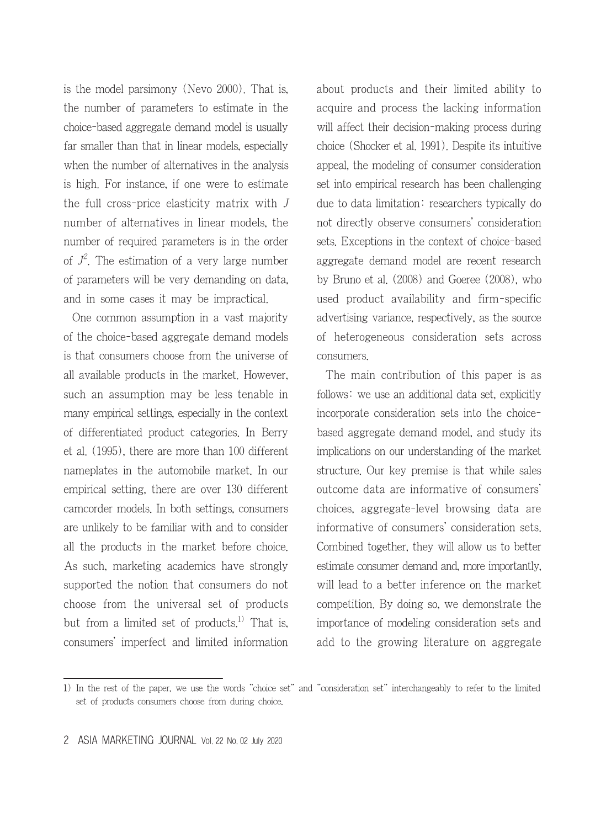is the model parsimony (Nevo 2000). That is, the number of parameters to estimate in the choice-based aggregate demand model is usually far smaller than that in linear models, especially when the number of alternatives in the analysis is high. For instance, if one were to estimate the full cross-price elasticity matrix with J number of alternatives in linear models, the number of required parameters is in the order of  $J^2$ . The estimation of a very large number of parameters will be very demanding on data, and in some cases it may be impractical.

One common assumption in a vast majority of the choice-based aggregate demand models is that consumers choose from the universe of all available products in the market. However, such an assumption may be less tenable in many empirical settings, especially in the context of differentiated product categories. In Berry et al. (1995), there are more than 100 different nameplates in the automobile market. In our empirical setting, there are over 130 different camcorder models. In both settings, consumers are unlikely to be familiar with and to consider all the products in the market before choice. As such, marketing academics have strongly supported the notion that consumers do not choose from the universal set of products but from a limited set of products.<sup>1)</sup> That is, consumers' imperfect and limited information about products and their limited ability to acquire and process the lacking information will affect their decision-making process during choice (Shocker et al. 1991). Despite its intuitive appeal, the modeling of consumer consideration set into empirical research has been challenging due to data limitation: researchers typically do not directly observe consumers' consideration sets. Exceptions in the context of choice-based aggregate demand model are recent research by Bruno et al. (2008) and Goeree (2008), who used product availability and firm-specific advertising variance, respectively, as the source of heterogeneous consideration sets across consumers.

The main contribution of this paper is as follows: we use an additional data set, explicitly incorporate consideration sets into the choicebased aggregate demand model, and study its implications on our understanding of the market structure. Our key premise is that while sales outcome data are informative of consumers' choices, aggregate-level browsing data are informative of consumers' consideration sets. Combined together, they will allow us to better estimate consumer demand and, more importantly, will lead to a better inference on the market competition. By doing so, we demonstrate the importance of modeling consideration sets and add to the growing literature on aggregate

<sup>1)</sup> In the rest of the paper, we use the words "choice set" and "consideration set" interchangeably to refer to the limited set of products consumers choose from during choice.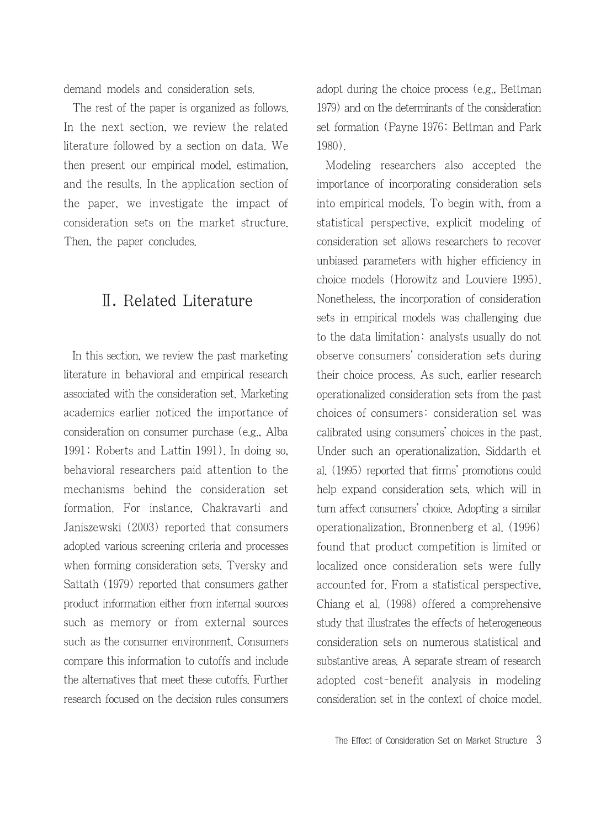demand models and consideration sets.

The rest of the paper is organized as follows. In the next section, we review the related literature followed by a section on data. We then present our empirical model, estimation, and the results. In the application section of the paper, we investigate the impact of consideration sets on the market structure. Then, the paper concludes.

## Ⅱ. Related Literature

In this section, we review the past marketing literature in behavioral and empirical research associated with the consideration set. Marketing academics earlier noticed the importance of consideration on consumer purchase (e.g., Alba 1991; Roberts and Lattin 1991). In doing so, behavioral researchers paid attention to the mechanisms behind the consideration set formation. For instance, Chakravarti and Janiszewski (2003) reported that consumers adopted various screening criteria and processes when forming consideration sets. Tversky and Sattath (1979) reported that consumers gather product information either from internal sources such as memory or from external sources such as the consumer environment. Consumers compare this information to cutoffs and include the alternatives that meet these cutoffs. Further research focused on the decision rules consumers adopt during the choice process (e.g., Bettman 1979) and on the determinants of the consideration set formation (Payne 1976; Bettman and Park 1980).

Modeling researchers also accepted the importance of incorporating consideration sets into empirical models. To begin with, from a statistical perspective, explicit modeling of consideration set allows researchers to recover unbiased parameters with higher efficiency in choice models (Horowitz and Louviere 1995). Nonetheless, the incorporation of consideration sets in empirical models was challenging due to the data limitation: analysts usually do not observe consumers' consideration sets during their choice process. As such, earlier research operationalized consideration sets from the past choices of consumers: consideration set was calibrated using consumers' choices in the past. Under such an operationalization, Siddarth et al. (1995) reported that firms' promotions could help expand consideration sets, which will in turn affect consumers' choice. Adopting a similar operationalization, Bronnenberg et al. (1996) found that product competition is limited or localized once consideration sets were fully accounted for. From a statistical perspective, Chiang et al. (1998) offered a comprehensive study that illustrates the effects of heterogeneous consideration sets on numerous statistical and substantive areas. A separate stream of research adopted cost-benefit analysis in modeling consideration set in the context of choice model.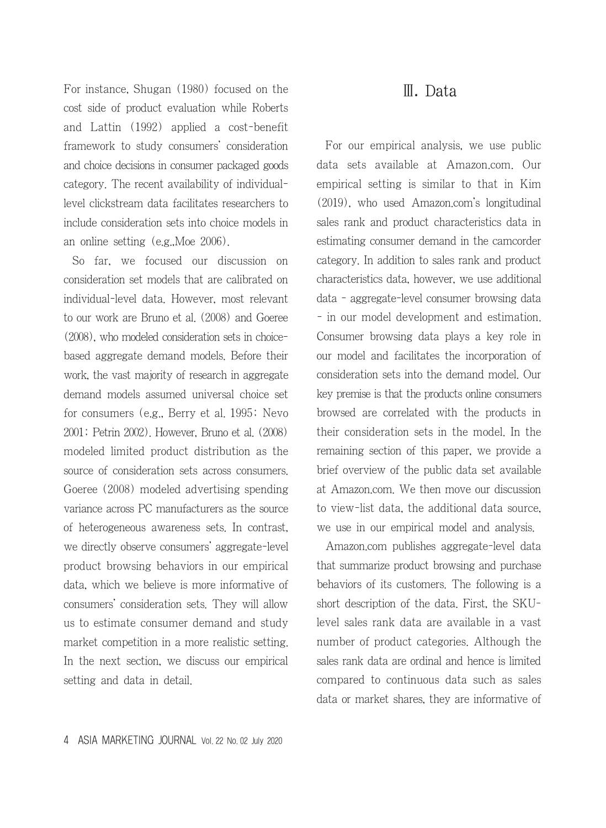For instance, Shugan (1980) focused on the cost side of product evaluation while Roberts and Lattin (1992) applied a cost-benefit framework to study consumers' consideration and choice decisions in consumer packaged goods category. The recent availability of individuallevel clickstream data facilitates researchers to include consideration sets into choice models in an online setting (e.g.,Moe 2006).

So far, we focused our discussion on consideration set models that are calibrated on individual-level data. However, most relevant to our work are Bruno et al. (2008) and Goeree (2008), who modeled consideration sets in choicebased aggregate demand models. Before their work, the vast majority of research in aggregate demand models assumed universal choice set for consumers (e.g., Berry et al. 1995; Nevo 2001; Petrin 2002). However, Bruno et al. (2008) modeled limited product distribution as the source of consideration sets across consumers. Goeree (2008) modeled advertising spending variance across PC manufacturers as the source of heterogeneous awareness sets. In contrast, we directly observe consumers' aggregate-level product browsing behaviors in our empirical data, which we believe is more informative of consumers' consideration sets. They will allow us to estimate consumer demand and study market competition in a more realistic setting. In the next section, we discuss our empirical setting and data in detail.

### Ⅲ. Data

For our empirical analysis, we use public data sets available at Amazon.com. Our empirical setting is similar to that in Kim (2019), who used Amazon.com's longitudinal sales rank and product characteristics data in estimating consumer demand in the camcorder category. In addition to sales rank and product characteristics data, however, we use additional data - aggregate-level consumer browsing data - in our model development and estimation. Consumer browsing data plays a key role in our model and facilitates the incorporation of consideration sets into the demand model. Our key premise is that the products online consumers browsed are correlated with the products in their consideration sets in the model. In the remaining section of this paper, we provide a brief overview of the public data set available at Amazon.com. We then move our discussion to view-list data, the additional data source, we use in our empirical model and analysis.

Amazon.com publishes aggregate-level data that summarize product browsing and purchase behaviors of its customers. The following is a short description of the data. First, the SKUlevel sales rank data are available in a vast number of product categories. Although the sales rank data are ordinal and hence is limited compared to continuous data such as sales data or market shares, they are informative of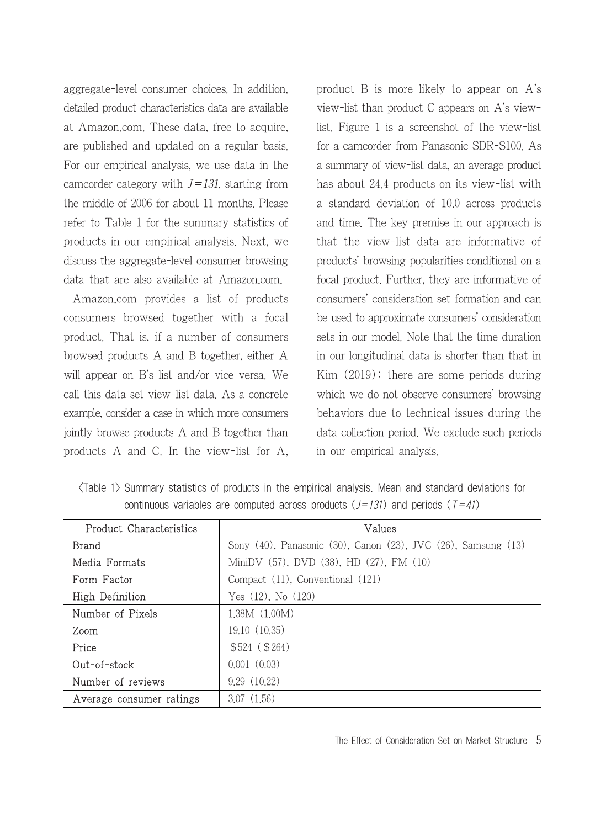aggregate-level consumer choices. In addition, detailed product characteristics data are available at Amazon.com. These data, free to acquire, are published and updated on a regular basis. For our empirical analysis, we use data in the camcorder category with  $J=131$ , starting from the middle of 2006 for about 11 months. Please refer to Table 1 for the summary statistics of products in our empirical analysis. Next, we discuss the aggregate-level consumer browsing data that are also available at Amazon.com.

Amazon.com provides a list of products consumers browsed together with a focal product. That is, if a number of consumers browsed products A and B together, either A will appear on B's list and/or vice versa. We call this data set view-list data. As a concrete example, consider a case in which more consumers jointly browse products A and B together than products A and C. In the view-list for A, product B is more likely to appear on A's view-list than product C appears on A's viewlist. Figure 1 is a screenshot of the view-list for a camcorder from Panasonic SDR-S100. As a summary of view-list data, an average product has about 24.4 products on its view-list with a standard deviation of 10.0 across products and time. The key premise in our approach is that the view-list data are informative of products' browsing popularities conditional on a focal product. Further, they are informative of consumers' consideration set formation and can be used to approximate consumers' consideration sets in our model. Note that the time duration in our longitudinal data is shorter than that in Kim (2019): there are some periods during which we do not observe consumers' browsing behaviors due to technical issues during the data collection period. We exclude such periods in our empirical analysis.

| (Table 1) Summary statistics of products in the empirical analysis. Mean and standard deviations for |  |  |  |  |  |  |  |
|------------------------------------------------------------------------------------------------------|--|--|--|--|--|--|--|
| continuous variables are computed across products $(J=131)$ and periods $(T=41)$                     |  |  |  |  |  |  |  |

| <b>Product Characteristics</b> | Values                                                        |  |  |  |  |  |  |
|--------------------------------|---------------------------------------------------------------|--|--|--|--|--|--|
| Brand                          | Sony (40), Panasonic (30), Canon (23), JVC (26), Samsung (13) |  |  |  |  |  |  |
| Media Formats                  | MiniDV (57), DVD (38), HD (27), FM (10)                       |  |  |  |  |  |  |
| Form Factor                    | Compact (11), Conventional (121)                              |  |  |  |  |  |  |
| High Definition                | Yes $(12)$ , No $(120)$                                       |  |  |  |  |  |  |
| Number of Pixels               | 1.38M(1.00M)                                                  |  |  |  |  |  |  |
| Zoom                           | 19.10 (10.35)                                                 |  |  |  |  |  |  |
| Price                          | \$524 (\$264)                                                 |  |  |  |  |  |  |
| $Out-of-stock$                 | 0.001(0.03)                                                   |  |  |  |  |  |  |
| Number of reviews              | 9.29(10.22)                                                   |  |  |  |  |  |  |
| Average consumer ratings       | 3.07(1.56)                                                    |  |  |  |  |  |  |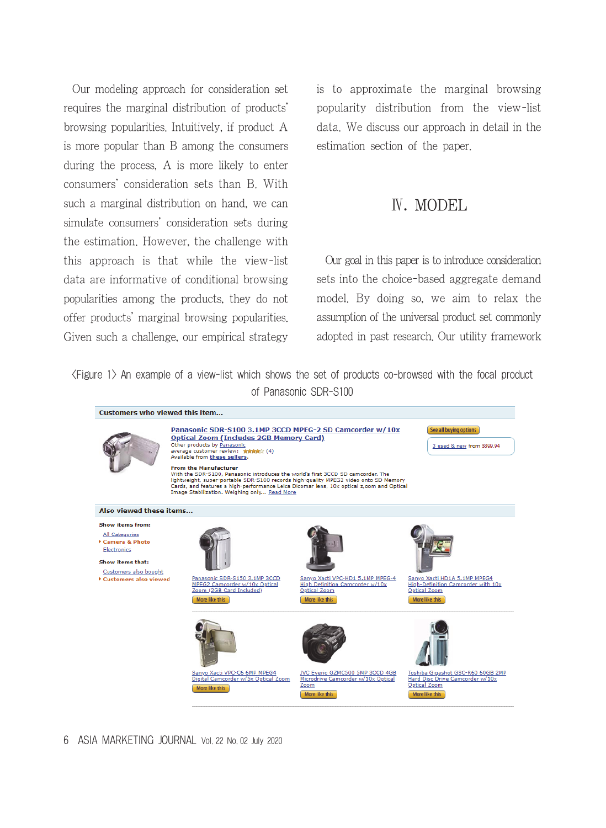Our modeling approach for consideration set requires the marginal distribution of products' browsing popularities. Intuitively, if product A is more popular than B among the consumers during the process, A is more likely to enter consumers' consideration sets than B. With such a marginal distribution on hand, we can simulate consumers' consideration sets during the estimation. However, the challenge with this approach is that while the view-list data are informative of conditional browsing popularities among the products, they do not offer products' marginal browsing popularities. Given such a challenge, our empirical strategy is to approximate the marginal browsing popularity distribution from the view-list data. We discuss our approach in detail in the estimation section of the paper.

## Ⅳ. MODEL

Our goal in this paper is to introduce consideration sets into the choice-based aggregate demand model. By doing so, we aim to relax the assumption of the universal product set commonly adopted in past research. Our utility framework

<Figure 1> An example of a view-list which shows the set of products co-browsed with the focal product of Panasonic SDR-S100



6 ASIA MARKETING JOURNAL Vol. 22 No. 02 July 2020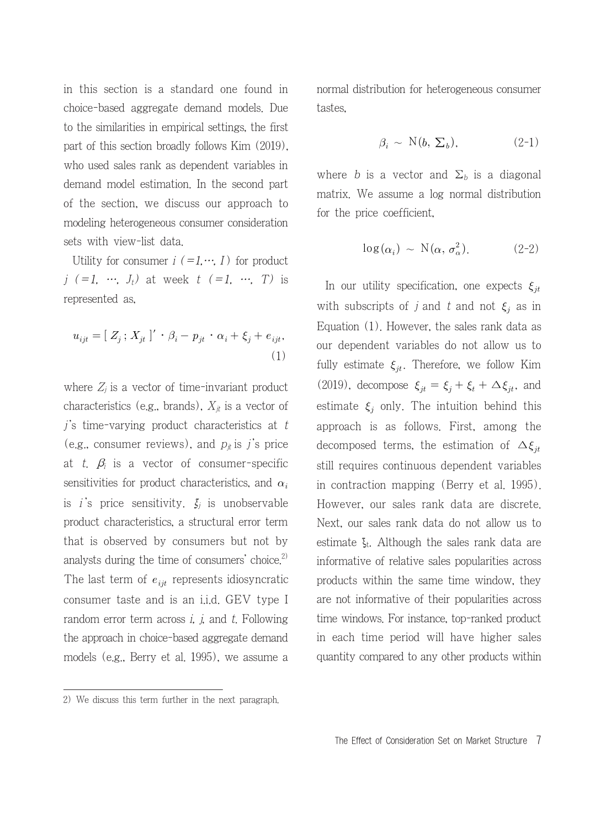in this section is a standard one found in choice-based aggregate demand models. Due to the similarities in empirical settings, the first part of this section broadly follows Kim (2019), who used sales rank as dependent variables in demand model estimation. In the second part of the section, we discuss our approach to modeling heterogeneous consumer consideration sets with view-list data.

Utility for consumer  $i (=1, \dots, I)$  for product j  $(=1, \cdots, J_t)$  at week  $t$   $(=1, \cdots, T)$  is represented as,

$$
u_{ijt} = [Z_j; X_{jt}]' \cdot \beta_i - p_{jt} \cdot \alpha_i + \xi_j + e_{ijt},
$$

$$
\tag{1}
$$

where  $Z_i$  is a vector of time-invariant product characteristics (e.g., brands),  $X_{it}$  is a vector of  $j$ 's time-varying product characteristics at t (e.g., consumer reviews), and  $p_{\mu}$  is j's price at t.  $\beta_i$  is a vector of consumer-specific sensitivities for product characteristics, and  $\alpha_i$ is *i*'s price sensitivity.  $\xi_i$  is unobservable product characteristics, a structural error term that is observed by consumers but not by analysts during the time of consumers' choice.<sup>2)</sup> The last term of  $e_{ijt}$  represents idiosyncratic consumer taste and is an i.i.d. GEV type I random error term across  $i$ ,  $j$ , and  $t$ . Following the approach in choice-based aggregate demand models (e.g., Berry et al. 1995), we assume a normal distribution for heterogeneous consumer tastes,

$$
\beta_i \sim \mathcal{N}(b, \Sigma_b), \tag{2-1}
$$

where b is a vector and  $\Sigma_b$  is a diagonal matrix. We assume a log normal distribution for the price coefficient,

$$
\log(\alpha_i) \sim \mathcal{N}(\alpha, \sigma_\alpha^2). \tag{2-2}
$$

In our utility specification, one expects  $\xi_{jt}$ with subscripts of j and t and not  $\xi_i$  as in Equation (1). However, the sales rank data as our dependent variables do not allow us to fully estimate  $\xi_{it}$ . Therefore, we follow Kim (2019), decompose  $\xi_{jt} = \xi_j + \xi_t + \Delta \xi_{jt}$ , and estimate  $\xi_i$  only. The intuition behind this approach is as follows. First, among the decomposed terms, the estimation of  $\Delta \xi_{it}$ still requires continuous dependent variables in contraction mapping (Berry et al. 1995). However, our sales rank data are discrete. Next, our sales rank data do not allow us to estimate  $\xi_t$ . Although the sales rank data are informative of relative sales popularities across products within the same time window, they are not informative of their popularities across time windows. For instance, top-ranked product in each time period will have higher sales quantity compared to any other products within

<sup>2)</sup> We discuss this term further in the next paragraph.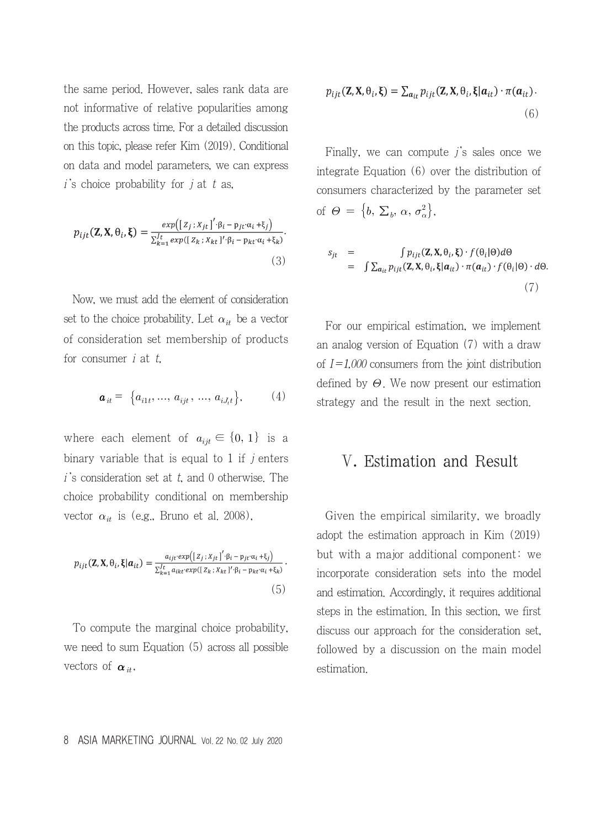the same period. However, sales rank data are not informative of relative popularities among the products across time. For a detailed discussion on this topic, please refer Kim (2019). Conditional on data and model parameters, we can express  $i$ 's choice probability for  $i$  at  $t$  as,

$$
p_{ijt}(\mathbf{Z}, \mathbf{X}, \theta_i, \boldsymbol{\xi}) = \frac{\exp\left(\left[z_j; x_{jt}\right]'\cdot \beta_i - p_{jt'}\alpha_i + \xi_j\right)}{\sum_{k=1}^J \exp\left(\left[z_k; x_{kt}\right]'\cdot \beta_i - p_{kt'}\alpha_i + \xi_k\right)}.
$$
\n(3)

Now, we must add the element of consideration set to the choice probability. Let  $\alpha_{it}$  be a vector of consideration set membership of products for consumer  $i$  at  $t$ .

$$
\mathbf{a}_{it} = \{a_{i1t}, ..., a_{ijt}, ..., a_{iJ_t}\},\tag{4}
$$

where each element of  $a_{ijt} \in \{0, 1\}$  is a binary variable that is equal to 1 if  $j$  enters  $i$ 's consideration set at t, and 0 otherwise. The choice probability conditional on membership vector  $\alpha_{it}$  is (e.g., Bruno et al. 2008),

$$
p_{ijt}(\mathbf{Z}, \mathbf{X}, \theta_i, \xi | \mathbf{a}_{it}) = \frac{a_{ijt} \exp\left(\left[z_j; x_{jt}\right]' \cdot \beta_i - p_{jt} \cdot \alpha_i + \xi_j\right)}{\sum_{k=1}^l a_{ikt} \cdot \exp(\left[z_k; x_{kt}\right]' \cdot \beta_i - p_{kt} \cdot \alpha_i + \xi_k)} \cdot (5)
$$

To compute the marginal choice probability, we need to sum Equation (5) across all possible vectors of  $\alpha_{it}$ ,

$$
p_{ijt}(\mathbf{Z}, \mathbf{X}, \theta_i, \boldsymbol{\xi}) = \sum_{a_{it}} p_{ijt}(\mathbf{Z}, \mathbf{X}, \theta_i, \boldsymbol{\xi} | a_{it}) \cdot \pi(a_{it}).
$$
\n(6)

Finally, we can compute  $j$ 's sales once we integrate Equation (6) over the distribution of consumers characterized by the parameter set of  $\Theta = \{b, \Sigma_b, \alpha, \sigma_{\alpha}^2\},\$ 

$$
s_{jt} = \int p_{ijt}(\mathbf{Z}, \mathbf{X}, \theta_i, \boldsymbol{\xi}) \cdot f(\theta_i | \theta) d\theta
$$
  
= 
$$
\int \sum_{a_{it}} p_{ijt}(\mathbf{Z}, \mathbf{X}, \theta_i, \boldsymbol{\xi} | a_{it}) \cdot \pi(a_{it}) \cdot f(\theta_i | \theta) \cdot d\theta
$$
  
(7)

For our empirical estimation, we implement an analog version of Equation (7) with a draw of  $I=1,000$  consumers from the joint distribution defined by  $\Theta$ . We now present our estimation strategy and the result in the next section.

### Ⅴ. Estimation and Result

Given the empirical similarity, we broadly adopt the estimation approach in Kim (2019) but with a major additional component: we incorporate consideration sets into the model and estimation. Accordingly, it requires additional steps in the estimation. In this section, we first discuss our approach for the consideration set, followed by a discussion on the main model estimation.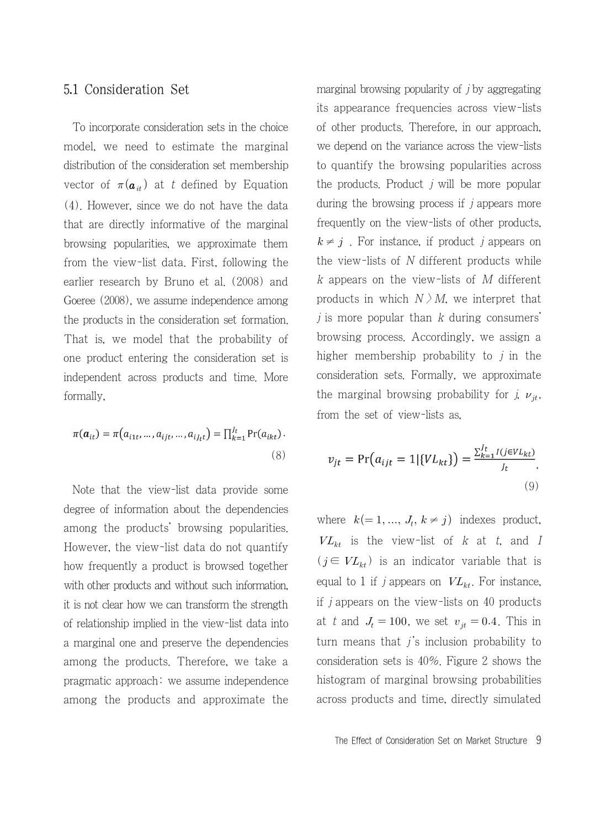#### 5.1 Consideration Set

To incorporate consideration sets in the choice model, we need to estimate the marginal distribution of the consideration set membership vector of  $\pi(\mathbf{a}_{it})$  at t defined by Equation (4). However, since we do not have the data that are directly informative of the marginal browsing popularities, we approximate them from the view-list data. First, following the earlier research by Bruno et al. (2008) and Goeree (2008), we assume independence among the products in the consideration set formation. That is, we model that the probability of one product entering the consideration set is independent across products and time. More formally,

$$
\pi(\boldsymbol{a}_{it}) = \pi(a_{i1t},...,a_{ijt},...,a_{iJ_{t}t}) = \prod_{k=1}^{J_{t}} \Pr(a_{ikt}).
$$
\n(8)

Note that the view-list data provide some degree of information about the dependencies among the products' browsing popularities. However, the view-list data do not quantify how frequently a product is browsed together with other products and without such information, it is not clear how we can transform the strength of relationship implied in the view-list data into a marginal one and preserve the dependencies among the products. Therefore, we take a pragmatic approach: we assume independence among the products and approximate the

marginal browsing popularity of  $j$  by aggregating its appearance frequencies across view-lists of other products. Therefore, in our approach, we depend on the variance across the view-lists to quantify the browsing popularities across the products. Product  $i$  will be more popular during the browsing process if  $j$  appears more frequently on the view-lists of other products,  $k \neq j$ . For instance, if product j appears on the view-lists of  $N$  different products while  $k$  appears on the view-lists of  $M$  different products in which  $N \geq M$ , we interpret that  $j$  is more popular than  $k$  during consumers' browsing process. Accordingly, we assign a higher membership probability to  $j$  in the consideration sets. Formally, we approximate the marginal browsing probability for *j*,  $\nu_{jt}$ , from the set of view-lists as,

$$
v_{jt} = \Pr(a_{ijt} = 1 | \{VL_{kt}\}) = \frac{\sum_{k=1}^{Jt} I(j \in VL_{kt})}{J_t},
$$
\n(9)

where  $k (= 1, ..., J_t, k \neq j)$  indexes product,  $VL_{kt}$  is the view-list of k at t, and I  $(j \in VL_{kt})$  is an indicator variable that is equal to 1 if *j* appears on  $VL_{kt}$ . For instance, if j appears on the view-lists on 40 products at t and  $J_t = 100$ , we set  $v_{it} = 0.4$ . This in turn means that  $j$ 's inclusion probability to consideration sets is 40%. Figure 2 shows the histogram of marginal browsing probabilities across products and time, directly simulated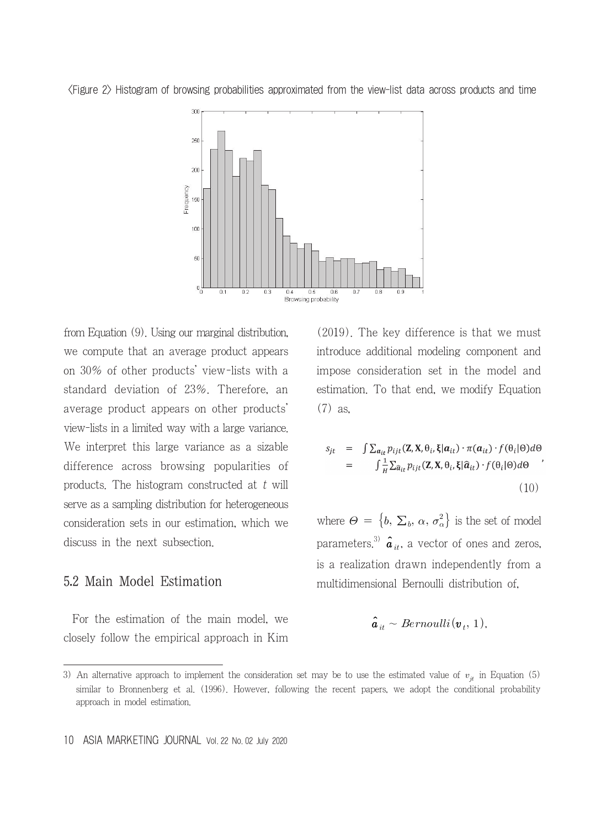

<Figure 2> Histogram of browsing probabilities approximated from the view-list data across products and time

from Equation (9). Using our marginal distribution, we compute that an average product appears on 30% of other products' view-lists with a standard deviation of 23%. Therefore, an average product appears on other products' view-lists in a limited way with a large variance. We interpret this large variance as a sizable difference across browsing popularities of products. The histogram constructed at  $t$  will serve as a sampling distribution for heterogeneous consideration sets in our estimation, which we discuss in the next subsection.

#### 5.2 Main Model Estimation

For the estimation of the main model, we closely follow the empirical approach in Kim (2019). The key difference is that we must introduce additional modeling component and impose consideration set in the model and estimation. To that end, we modify Equation (7) as,

$$
s_{jt} = \int \sum_{a_{it}} p_{ijt}(\mathbf{Z}, \mathbf{X}, \theta_i, \xi | a_{it}) \cdot \pi(a_{it}) \cdot f(\theta_i | \theta) d\theta
$$
  

$$
= \int \frac{1}{H} \sum_{\hat{a}_{it}} p_{ijt}(\mathbf{Z}, \mathbf{X}, \theta_i, \xi | \hat{a}_{it}) \cdot f(\theta_i | \theta) d\theta
$$
  
(10)

where  $\Theta = \left\{ b, \, \Sigma_b, \, \alpha, \, \sigma_\alpha^2 \right\}$  is the set of model parameters.<sup>3)</sup>  $\hat{a}_{it}$ , a vector of ones and zeros, is a realization drawn independently from a multidimensional Bernoulli distribution of,

$$
\hat{\bm{a}}_{it} \sim Bernoulli(\bm{v}_t, 1),
$$

<sup>3)</sup> An alternative approach to implement the consideration set may be to use the estimated value of  $v_{jt}$  in Equation (5) similar to Bronnenberg et al. (1996). However, following the recent papers, we adopt the conditional probability approach in model estimation.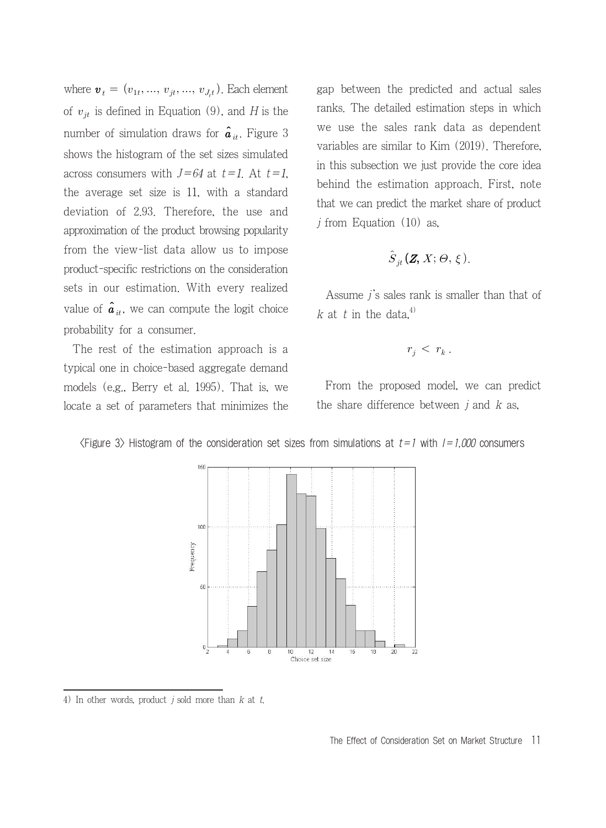where  $\mathbf{v}_t = (v_{1t}, ..., v_{jt}, ..., v_{J_t})$ . Each element of  $v_{jt}$  is defined in Equation (9), and H is the number of simulation draws for  $\hat{a}_{it}$ . Figure 3 shows the histogram of the set sizes simulated across consumers with  $J=64$  at  $t=1$ . At  $t=1$ , the average set size is 11, with a standard deviation of 2.93. Therefore, the use and approximation of the product browsing popularity from the view-list data allow us to impose product-specific restrictions on the consideration sets in our estimation. With every realized value of  $\hat{a}_{it}$ , we can compute the logit choice probability for a consumer.

The rest of the estimation approach is a typical one in choice-based aggregate demand models (e.g., Berry et al. 1995). That is, we locate a set of parameters that minimizes the

gap between the predicted and actual sales ranks. The detailed estimation steps in which we use the sales rank data as dependent variables are similar to Kim (2019). Therefore, in this subsection we just provide the core idea behind the estimation approach. First, note that we can predict the market share of product  $j$  from Equation (10) as,

$$
\hat{S}_{jt}(\mathbf{Z}, X; \Theta, \xi).
$$

Assume  $j$ 's sales rank is smaller than that of k at t in the data, $4$ )

$$
r_j \, < \, r_k \, .
$$

From the proposed model, we can predict the share difference between  $i$  and  $k$  as,





4) In other words, product  $j$  sold more than  $k$  at  $t$ .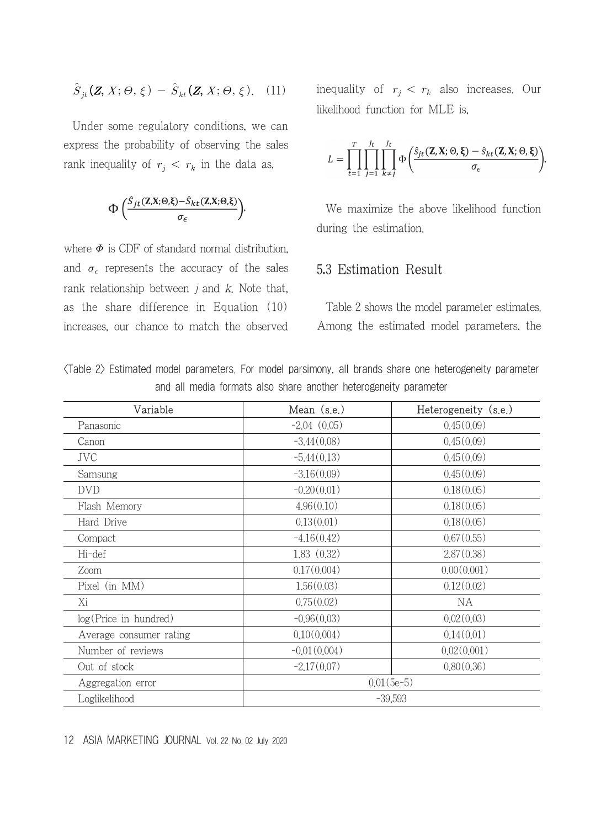$$
\hat{S}_{jt}(\mathbf{Z}, X; \Theta, \xi) - \hat{S}_{kt}(\mathbf{Z}, X; \Theta, \xi). \quad (11)
$$

Under some regulatory conditions, we can express the probability of observing the sales rank inequality of  $r_j \, \langle r_k \rangle$  in the data as,

$$
\Phi\left(\frac{\hat{S}_{jt}(\mathbf{Z}, \mathbf{X}; \Theta, \xi) - \hat{S}_{kt}(\mathbf{Z}, \mathbf{X}; \Theta, \xi)}{\sigma_{\epsilon}}\right),\
$$

where  $\Phi$  is CDF of standard normal distribution, and  $\sigma_{\epsilon}$  represents the accuracy of the sales rank relationship between  $i$  and  $k$ . Note that, as the share difference in Equation (10) increases, our chance to match the observed inequality of  $r_j < r_k$  also increases. Our likelihood function for MLE is,

$$
L = \prod_{t=1}^T \prod_{j=1}^{J_t} \prod_{k \neq j}^{J_t} \Phi\left(\frac{\hat{S}_{jt}(\mathbf{Z}, \mathbf{X}; \Theta, \boldsymbol{\xi}) - \hat{S}_{kt}(\mathbf{Z}, \mathbf{X}; \Theta, \boldsymbol{\xi})}{\sigma_{\epsilon}}\right).
$$

We maximize the above likelihood function during the estimation.

#### 5.3 Estimation Result

Table 2 shows the model parameter estimates. Among the estimated model parameters, the

|  |  |  |                                                                  |  |  | (Table 2) Estimated model parameters, For model parsimony, all brands share one heterogeneity parameter |  |
|--|--|--|------------------------------------------------------------------|--|--|---------------------------------------------------------------------------------------------------------|--|
|  |  |  | and all media formats also share another heterogeneity parameter |  |  |                                                                                                         |  |

| Variable                | Mean (s.e.)    | Heterogeneity (s.e.) |  |  |  |  |
|-------------------------|----------------|----------------------|--|--|--|--|
| Panasonic               | $-2.04(0.05)$  | 0.45(0.09)           |  |  |  |  |
| Canon                   | $-3.44(0.08)$  | 0.45(0.09)           |  |  |  |  |
| JVC                     | $-5.44(0.13)$  | 0.45(0.09)           |  |  |  |  |
| Samsung                 | $-3.16(0.09)$  | 0.45(0.09)           |  |  |  |  |
| <b>DVD</b>              | $-0.20(0.01)$  | 0.18(0.05)           |  |  |  |  |
| Flash Memory            | 4.96(0.10)     | 0.18(0.05)           |  |  |  |  |
| Hard Drive              | 0.13(0.01)     | 0.18(0.05)           |  |  |  |  |
| Compact                 | $-4.16(0.42)$  | 0.67(0.55)           |  |  |  |  |
| Hi-def                  | 1,83(0,32)     | 2,87(0,38)           |  |  |  |  |
| Zoom                    | 0.17(0.004)    | 0.00(0.001)          |  |  |  |  |
| Pixel (in MM)           | 1,56(0,03)     | 0.12(0.02)           |  |  |  |  |
| Χi                      | 0.75(0.02)     | <b>NA</b>            |  |  |  |  |
| log(Price in hundred)   | $-0.96(0.03)$  | 0.02(0.03)           |  |  |  |  |
| Average consumer rating | 0.10(0.004)    | 0.14(0.01)           |  |  |  |  |
| Number of reviews       | $-0.01(0.004)$ | 0.02(0.001)          |  |  |  |  |
| Out of stock            | $-2.17(0.07)$  | 0.80(0.36)           |  |  |  |  |
| Aggregation error       | $0.01(5e-5)$   |                      |  |  |  |  |
| Loglikelihood           | $-39,593$      |                      |  |  |  |  |

#### 12 ASIA MARKETING JOURNAL Vol. 22 No. 02 July 2020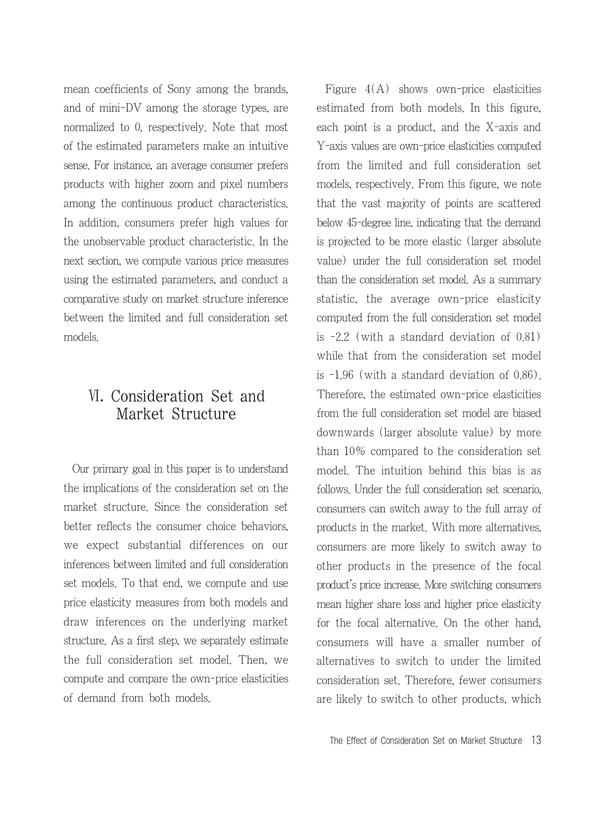mean coefficients of Sony among the brands, and of mini-DV among the storage types, are normalized to 0, respectively. Note that most of the estimated parameters make an intuitive sense. For instance, an average consumer prefers products with higher zoom and pixel numbers among the continuous product characteristics. In addition, consumers prefer high values for the unobservable product characteristic. In the next section, we compute various price measures using the estimated parameters, and conduct a comparative study on market structure inference between the limited and full consideration set models.

## Ⅵ. Consideration Set and Market Structure

Our primary goal in this paper is to understand the implications of the consideration set on the market structure. Since the consideration set better reflects the consumer choice behaviors, we expect substantial differences on our inferences between limited and full consideration set models. To that end, we compute and use price elasticity measures from both models and draw inferences on the underlying market structure. As a first step, we separately estimate the full consideration set model. Then, we compute and compare the own-price elasticities of demand from both models.

Figure 4(A) shows own-price elasticities estimated from both models. In this figure, each point is a product, and the X-axis and Y-axis values are own-price elasticities computed from the limited and full consideration set models, respectively. From this figure, we note that the vast majority of points are scattered below 45-degree line, indicating that the demand is projected to be more elastic (larger absolute value) under the full consideration set model than the consideration set model. As a summary statistic, the average own-price elasticity computed from the full consideration set model is -2.2 (with a standard deviation of 0.81) while that from the consideration set model is -1.96 (with a standard deviation of 0.86). Therefore, the estimated own-price elasticities from the full consideration set model are biased downwards (larger absolute value) by more than 10% compared to the consideration set model. The intuition behind this bias is as follows. Under the full consideration set scenario, consumers can switch away to the full array of products in the market. With more alternatives, consumers are more likely to switch away to other products in the presence of the focal product's price increase. More switching consumers mean higher share loss and higher price elasticity for the focal alternative. On the other hand, consumers will have a smaller number of alternatives to switch to under the limited consideration set. Therefore, fewer consumers are likely to switch to other products, which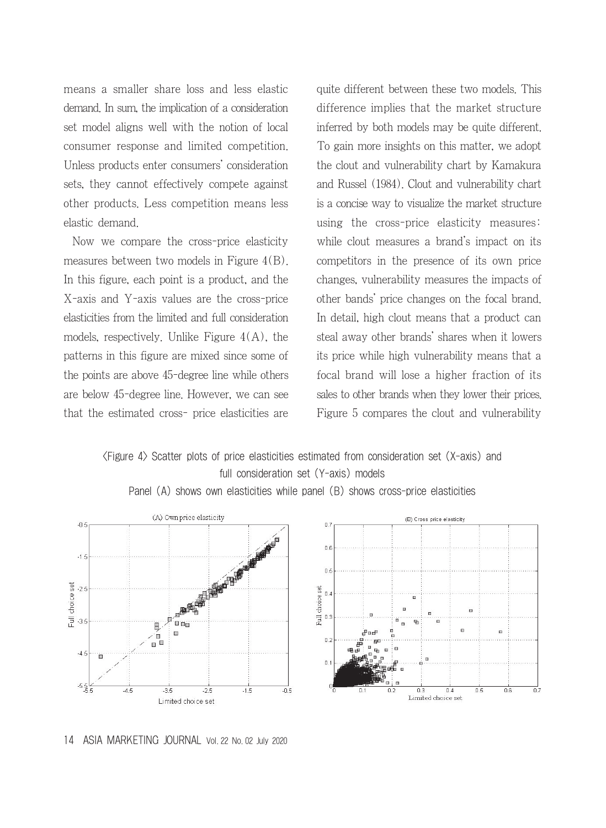means a smaller share loss and less elastic demand. In sum, the implication of a consideration set model aligns well with the notion of local consumer response and limited competition. Unless products enter consumers' consideration sets, they cannot effectively compete against other products. Less competition means less elastic demand.

Now we compare the cross-price elasticity measures between two models in Figure 4(B). In this figure, each point is a product, and the X-axis and Y-axis values are the cross-price elasticities from the limited and full consideration models, respectively. Unlike Figure  $4(A)$ , the patterns in this figure are mixed since some of the points are above 45-degree line while others are below 45-degree line. However, we can see that the estimated cross- price elasticities are quite different between these two models. This difference implies that the market structure inferred by both models may be quite different. To gain more insights on this matter, we adopt the clout and vulnerability chart by Kamakura and Russel (1984). Clout and vulnerability chart is a concise way to visualize the market structure using the cross-price elasticity measures: while clout measures a brand's impact on its competitors in the presence of its own price changes, vulnerability measures the impacts of other bands' price changes on the focal brand. In detail, high clout means that a product can steal away other brands' shares when it lowers its price while high vulnerability means that a focal brand will lose a higher fraction of its sales to other brands when they lower their prices. Figure 5 compares the clout and vulnerability

<Figure 4> Scatter plots of price elasticities estimated from consideration set (X-axis) and full consideration set (Y-axis) models



Panel (A) shows own elasticities while panel (B) shows cross-price elasticities

#### 14 ASIA MARKETING JOURNAL Vol. 22 No. 02 July 2020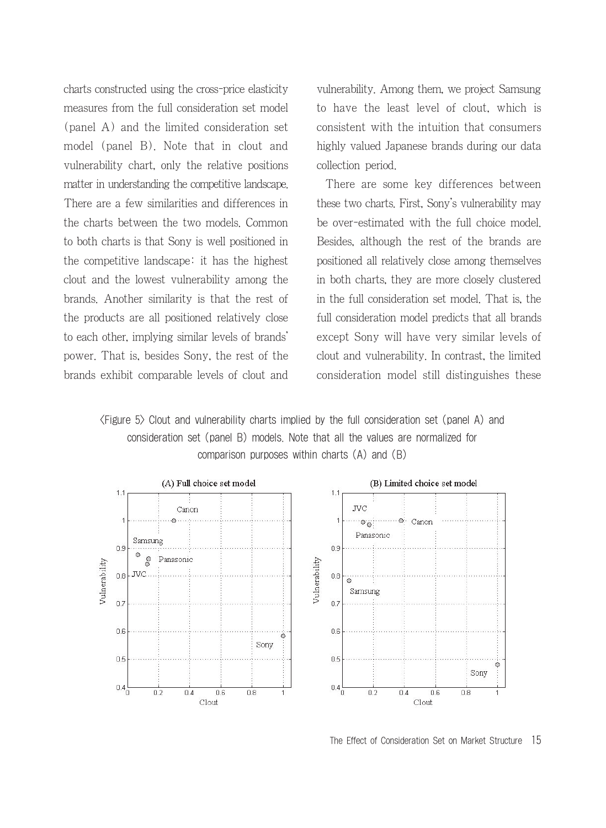charts constructed using the cross-price elasticity measures from the full consideration set model (panel A) and the limited consideration set model (panel B). Note that in clout and vulnerability chart, only the relative positions matter in understanding the competitive landscape. There are a few similarities and differences in the charts between the two models. Common to both charts is that Sony is well positioned in the competitive landscape: it has the highest clout and the lowest vulnerability among the brands. Another similarity is that the rest of the products are all positioned relatively close to each other, implying similar levels of brands' power. That is, besides Sony, the rest of the brands exhibit comparable levels of clout and

vulnerability. Among them, we project Samsung to have the least level of clout, which is consistent with the intuition that consumers highly valued Japanese brands during our data collection period.

There are some key differences between these two charts. First, Sony's vulnerability may be over-estimated with the full choice model. Besides, although the rest of the brands are positioned all relatively close among themselves in both charts, they are more closely clustered in the full consideration set model. That is, the full consideration model predicts that all brands except Sony will have very similar levels of clout and vulnerability. In contrast, the limited consideration model still distinguishes these

<Figure 5> Clout and vulnerability charts implied by the full consideration set (panel A) and consideration set (panel B) models. Note that all the values are normalized for comparison purposes within charts (A) and (B)



The Effect of Consideration Set on Market Structure 15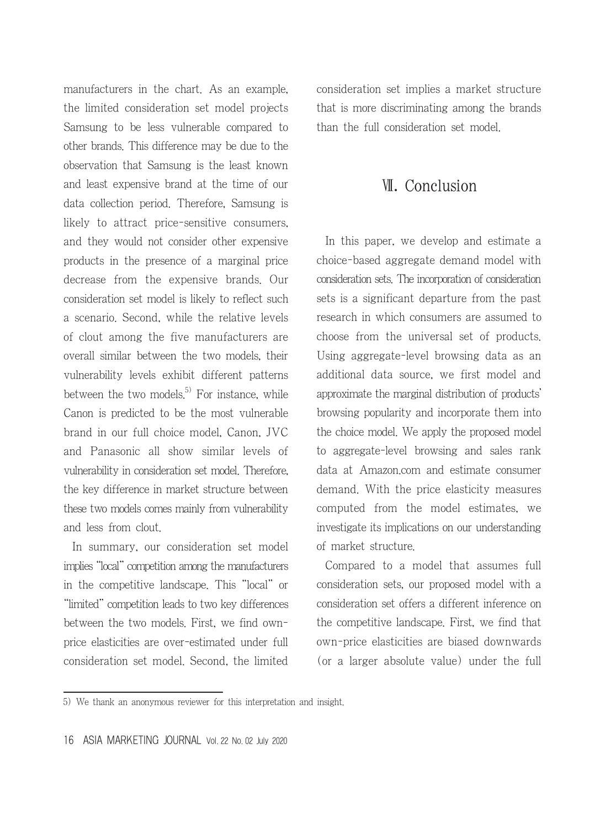manufacturers in the chart. As an example, the limited consideration set model projects Samsung to be less vulnerable compared to other brands. This difference may be due to the observation that Samsung is the least known and least expensive brand at the time of our data collection period. Therefore, Samsung is likely to attract price-sensitive consumers, and they would not consider other expensive products in the presence of a marginal price decrease from the expensive brands. Our consideration set model is likely to reflect such a scenario. Second, while the relative levels of clout among the five manufacturers are overall similar between the two models, their vulnerability levels exhibit different patterns between the two models.<sup>5)</sup> For instance, while Canon is predicted to be the most vulnerable brand in our full choice model, Canon, JVC and Panasonic all show similar levels of vulnerability in consideration set model. Therefore, the key difference in market structure between these two models comes mainly from vulnerability and less from clout.

In summary, our consideration set model implies "local" competition among the manufacturers in the competitive landscape. This "local" or "limited" competition leads to two key differences between the two models. First, we find ownprice elasticities are over-estimated under full consideration set model. Second, the limited consideration set implies a market structure that is more discriminating among the brands than the full consideration set model.

### Ⅶ. Conclusion

In this paper, we develop and estimate a choice-based aggregate demand model with consideration sets. The incorporation of consideration sets is a significant departure from the past research in which consumers are assumed to choose from the universal set of products. Using aggregate-level browsing data as an additional data source, we first model and approximate the marginal distribution of products' browsing popularity and incorporate them into the choice model. We apply the proposed model to aggregate-level browsing and sales rank data at Amazon.com and estimate consumer demand. With the price elasticity measures computed from the model estimates, we investigate its implications on our understanding of market structure.

Compared to a model that assumes full consideration sets, our proposed model with a consideration set offers a different inference on the competitive landscape. First, we find that own-price elasticities are biased downwards (or a larger absolute value) under the full

<sup>5)</sup> We thank an anonymous reviewer for this interpretation and insight.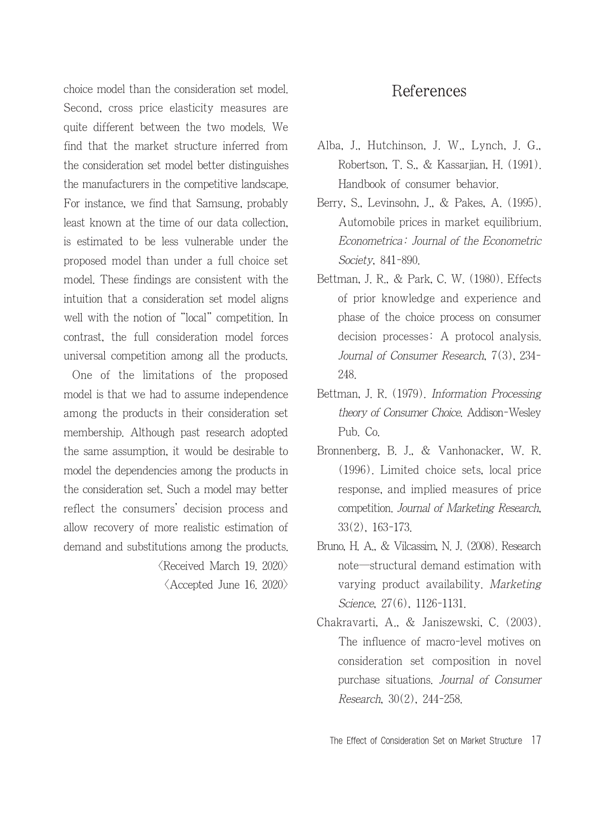choice model than the consideration set model. Second, cross price elasticity measures are quite different between the two models. We find that the market structure inferred from the consideration set model better distinguishes the manufacturers in the competitive landscape. For instance, we find that Samsung, probably least known at the time of our data collection, is estimated to be less vulnerable under the proposed model than under a full choice set model. These findings are consistent with the intuition that a consideration set model aligns well with the notion of "local" competition. In contrast, the full consideration model forces universal competition among all the products.

One of the limitations of the proposed model is that we had to assume independence among the products in their consideration set membership. Although past research adopted the same assumption, it would be desirable to model the dependencies among the products in the consideration set. Such a model may better reflect the consumers' decision process and allow recovery of more realistic estimation of demand and substitutions among the products.

 $\langle$ Received March 19. 2020 $\rangle$ 

 $\langle$  Accepted June 16, 2020 $\rangle$ 

## References

- Alba, J., Hutchinson, J. W., Lynch, J. G., Robertson, T. S., & Kassarjian, H. (1991). Handbook of consumer behavior.
- Berry, S., Levinsohn, J., & Pakes, A. (1995). Automobile prices in market equilibrium. Econometrica: Journal of the Econometric Society, 841-890.
- Bettman, J. R., & Park, C. W. (1980). Effects of prior knowledge and experience and phase of the choice process on consumer decision processes: A protocol analysis. Journal of Consumer Research, 7(3), 234- 248.
- Bettman, J. R. (1979). Information Processing theory of Consumer Choice. Addison-Wesley Pub. Co.
- Bronnenberg, B. J., & Vanhonacker, W. R. (1996). Limited choice sets, local price response, and implied measures of price competition. Journal of Marketing Research, 33(2), 163-173.
- Bruno, H. A., & Vilcassim, N. J. (2008). Research note―structural demand estimation with varying product availability. Marketing Science, 27(6), 1126-1131.
- Chakravarti, A., & Janiszewski, C. (2003). The influence of macro-level motives on consideration set composition in novel purchase situations. Journal of Consumer Research, 30(2), 244-258.